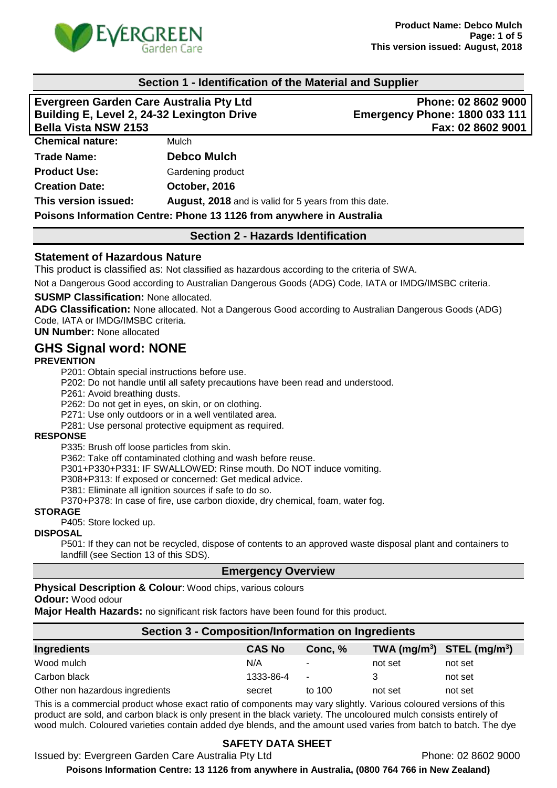

### **Section 1 - Identification of the Material and Supplier**

| Evergreen Garden Care Australia Pty Ltd    |                                                                      | Phone: 02 8602 9000                  |  |
|--------------------------------------------|----------------------------------------------------------------------|--------------------------------------|--|
| Building E, Level 2, 24-32 Lexington Drive |                                                                      | <b>Emergency Phone: 1800 033 111</b> |  |
| <b>Bella Vista NSW 2153</b>                |                                                                      | Fax: 02 8602 9001                    |  |
| <b>Chemical nature:</b>                    | Mulch                                                                |                                      |  |
| <b>Trade Name:</b>                         | <b>Debco Mulch</b>                                                   |                                      |  |
| <b>Product Use:</b>                        | Gardening product                                                    |                                      |  |
| <b>Creation Date:</b>                      | October, 2016                                                        |                                      |  |
| This version issued:                       | <b>August, 2018</b> and is valid for 5 years from this date.         |                                      |  |
|                                            | Poisons Information Centre: Phone 13 1126 from anywhere in Australia |                                      |  |

### **Section 2 - Hazards Identification**

#### **Statement of Hazardous Nature**

This product is classified as: Not classified as hazardous according to the criteria of SWA.

Not a Dangerous Good according to Australian Dangerous Goods (ADG) Code, IATA or IMDG/IMSBC criteria.

#### **SUSMP Classification:** None allocated.

**ADG Classification:** None allocated. Not a Dangerous Good according to Australian Dangerous Goods (ADG) Code, IATA or IMDG/IMSBC criteria.

**UN Number:** None allocated

## **GHS Signal word: NONE**

#### **PREVENTION**

P201: Obtain special instructions before use.

P202: Do not handle until all safety precautions have been read and understood.

P261: Avoid breathing dusts.

P262: Do not get in eyes, on skin, or on clothing.

P271: Use only outdoors or in a well ventilated area.

P281: Use personal protective equipment as required.

#### **RESPONSE**

P335: Brush off loose particles from skin.

P362: Take off contaminated clothing and wash before reuse.

P301+P330+P331: IF SWALLOWED: Rinse mouth. Do NOT induce vomiting.

P308+P313: If exposed or concerned: Get medical advice.

P381: Eliminate all ignition sources if safe to do so.

P370+P378: In case of fire, use carbon dioxide, dry chemical, foam, water fog.

#### **STORAGE**

P405: Store locked up.

#### **DISPOSAL**

P501: If they can not be recycled, dispose of contents to an approved waste disposal plant and containers to landfill (see Section 13 of this SDS).

#### **Emergency Overview**

**Physical Description & Colour**: Wood chips, various colours

#### **Odour:** Wood odour

**Major Health Hazards:** no significant risk factors have been found for this product.

| <b>Section 3 - Composition/Information on Ingredients</b> |               |                          |                                |         |
|-----------------------------------------------------------|---------------|--------------------------|--------------------------------|---------|
| <b>Ingredients</b>                                        | <b>CAS No</b> | Conc. %                  | TWA $(mg/m^3)$ STEL $(mg/m^3)$ |         |
| Wood mulch                                                | N/A           | $\sim$                   | not set                        | not set |
| Carbon black                                              | 1333-86-4     | $\overline{\phantom{a}}$ | 3                              | not set |
| Other non hazardous ingredients                           | secret        | to 100                   | not set                        | not set |

This is a commercial product whose exact ratio of components may vary slightly. Various coloured versions of this product are sold, and carbon black is only present in the black variety. The uncoloured mulch consists entirely of wood mulch. Coloured varieties contain added dye blends, and the amount used varies from batch to batch. The dye

## **SAFETY DATA SHEET**

Issued by: Evergreen Garden Care Australia Pty Ltd **Phone: 02 8602 9000** 

**Poisons Information Centre: 13 1126 from anywhere in Australia, (0800 764 766 in New Zealand)**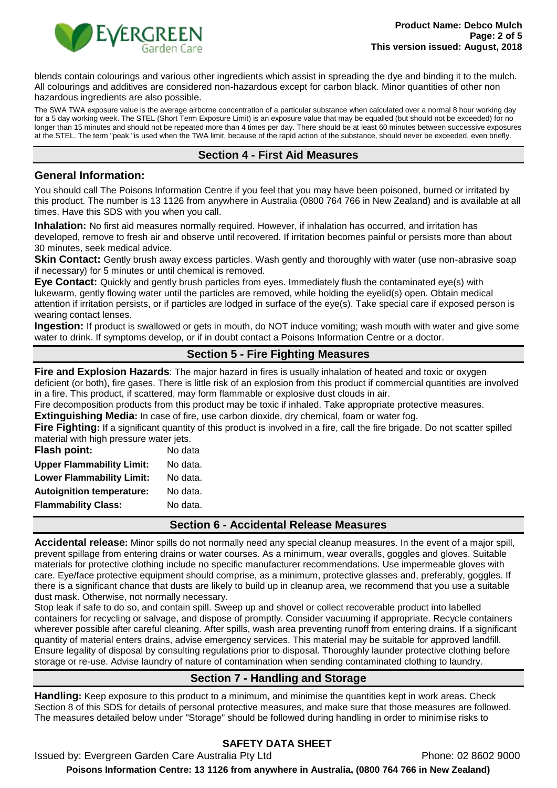

blends contain colourings and various other ingredients which assist in spreading the dye and binding it to the mulch. All colourings and additives are considered non-hazardous except for carbon black. Minor quantities of other non hazardous ingredients are also possible.

The SWA TWA exposure value is the average airborne concentration of a particular substance when calculated over a normal 8 hour working day for a 5 day working week. The STEL (Short Term Exposure Limit) is an exposure value that may be equalled (but should not be exceeded) for no longer than 15 minutes and should not be repeated more than 4 times per day. There should be at least 60 minutes between successive exposures at the STEL. The term "peak "is used when the TWA limit, because of the rapid action of the substance, should never be exceeded, even briefly.

### **Section 4 - First Aid Measures**

#### **General Information:**

You should call The Poisons Information Centre if you feel that you may have been poisoned, burned or irritated by this product. The number is 13 1126 from anywhere in Australia (0800 764 766 in New Zealand) and is available at all times. Have this SDS with you when you call.

**Inhalation:** No first aid measures normally required. However, if inhalation has occurred, and irritation has developed, remove to fresh air and observe until recovered. If irritation becomes painful or persists more than about 30 minutes, seek medical advice.

**Skin Contact:** Gently brush away excess particles. Wash gently and thoroughly with water (use non-abrasive soap if necessary) for 5 minutes or until chemical is removed.

**Eye Contact:** Quickly and gently brush particles from eyes. Immediately flush the contaminated eye(s) with lukewarm, gently flowing water until the particles are removed, while holding the eyelid(s) open. Obtain medical attention if irritation persists, or if particles are lodged in surface of the eye(s). Take special care if exposed person is wearing contact lenses.

**Ingestion:** If product is swallowed or gets in mouth, do NOT induce vomiting; wash mouth with water and give some water to drink. If symptoms develop, or if in doubt contact a Poisons Information Centre or a doctor.

## **Section 5 - Fire Fighting Measures**

**Fire and Explosion Hazards**: The major hazard in fires is usually inhalation of heated and toxic or oxygen deficient (or both), fire gases. There is little risk of an explosion from this product if commercial quantities are involved in a fire. This product, if scattered, may form flammable or explosive dust clouds in air.

Fire decomposition products from this product may be toxic if inhaled. Take appropriate protective measures.

**Extinguishing Media:** In case of fire, use carbon dioxide, dry chemical, foam or water fog.

**Fire Fighting:** If a significant quantity of this product is involved in a fire, call the fire brigade. Do not scatter spilled material with high pressure water jets.

| <b>Flash point:</b>              | No data  |
|----------------------------------|----------|
| <b>Upper Flammability Limit:</b> | No data. |
| <b>Lower Flammability Limit:</b> | No data. |
| <b>Autoignition temperature:</b> | No data. |
| <b>Flammability Class:</b>       | No data. |
|                                  |          |

#### **Section 6 - Accidental Release Measures**

**Accidental release:** Minor spills do not normally need any special cleanup measures. In the event of a major spill, prevent spillage from entering drains or water courses. As a minimum, wear overalls, goggles and gloves. Suitable materials for protective clothing include no specific manufacturer recommendations. Use impermeable gloves with care. Eye/face protective equipment should comprise, as a minimum, protective glasses and, preferably, goggles. If there is a significant chance that dusts are likely to build up in cleanup area, we recommend that you use a suitable dust mask. Otherwise, not normally necessary.

Stop leak if safe to do so, and contain spill. Sweep up and shovel or collect recoverable product into labelled containers for recycling or salvage, and dispose of promptly. Consider vacuuming if appropriate. Recycle containers wherever possible after careful cleaning. After spills, wash area preventing runoff from entering drains. If a significant quantity of material enters drains, advise emergency services. This material may be suitable for approved landfill. Ensure legality of disposal by consulting regulations prior to disposal. Thoroughly launder protective clothing before storage or re-use. Advise laundry of nature of contamination when sending contaminated clothing to laundry.

## **Section 7 - Handling and Storage**

**Handling:** Keep exposure to this product to a minimum, and minimise the quantities kept in work areas. Check Section 8 of this SDS for details of personal protective measures, and make sure that those measures are followed. The measures detailed below under "Storage" should be followed during handling in order to minimise risks to

# **SAFETY DATA SHEET**

Issued by: Evergreen Garden Care Australia Pty Ltd **Phone: 02 8602 9000 Poisons Information Centre: 13 1126 from anywhere in Australia, (0800 764 766 in New Zealand)**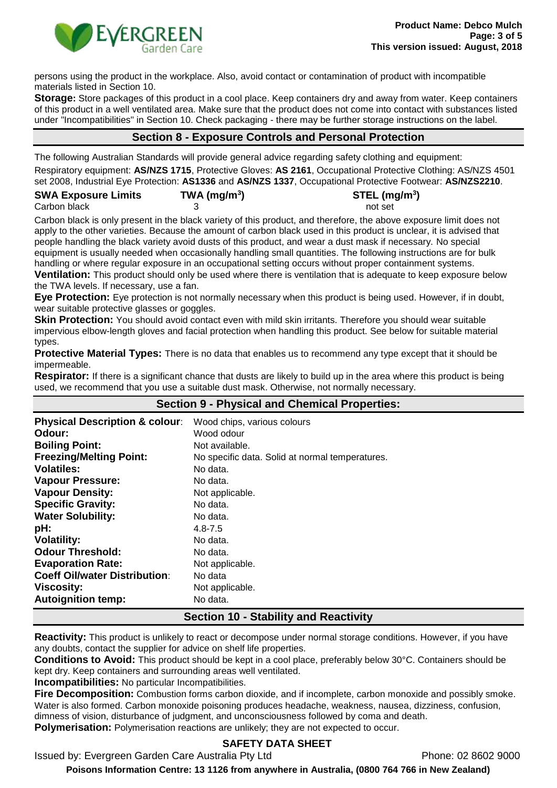

persons using the product in the workplace. Also, avoid contact or contamination of product with incompatible materials listed in Section 10.

**Storage:** Store packages of this product in a cool place. Keep containers dry and away from water. Keep containers of this product in a well ventilated area. Make sure that the product does not come into contact with substances listed under "Incompatibilities" in Section 10. Check packaging - there may be further storage instructions on the label.

## **Section 8 - Exposure Controls and Personal Protection**

The following Australian Standards will provide general advice regarding safety clothing and equipment:

Respiratory equipment: **AS/NZS 1715**, Protective Gloves: **AS 2161**, Occupational Protective Clothing: AS/NZS 4501 set 2008, Industrial Eye Protection: **AS1336** and **AS/NZS 1337**, Occupational Protective Footwear: **AS/NZS2210**.

| <b>SWA Exposure Limits</b> | TWA (mg/m <sup>3</sup> ) | $STEL$ (mg/m <sup>3</sup> ) |
|----------------------------|--------------------------|-----------------------------|
| Carbon black               |                          | not set                     |

Carbon black is only present in the black variety of this product, and therefore, the above exposure limit does not apply to the other varieties. Because the amount of carbon black used in this product is unclear, it is advised that people handling the black variety avoid dusts of this product, and wear a dust mask if necessary. No special equipment is usually needed when occasionally handling small quantities. The following instructions are for bulk handling or where regular exposure in an occupational setting occurs without proper containment systems. **Ventilation:** This product should only be used where there is ventilation that is adequate to keep exposure below

the TWA levels. If necessary, use a fan.

**Eye Protection:** Eye protection is not normally necessary when this product is being used. However, if in doubt, wear suitable protective glasses or goggles.

**Skin Protection:** You should avoid contact even with mild skin irritants. Therefore you should wear suitable impervious elbow-length gloves and facial protection when handling this product. See below for suitable material types.

**Protective Material Types:** There is no data that enables us to recommend any type except that it should be impermeable.

**Respirator:** If there is a significant chance that dusts are likely to build up in the area where this product is being used, we recommend that you use a suitable dust mask. Otherwise, not normally necessary.

| <b>Section 9 - Physical and Chemical Properties:</b> |                                                 |
|------------------------------------------------------|-------------------------------------------------|
| <b>Physical Description &amp; colour:</b>            | Wood chips, various colours                     |
| Odour:                                               | Wood odour                                      |
| <b>Boiling Point:</b>                                | Not available.                                  |
| <b>Freezing/Melting Point:</b>                       | No specific data. Solid at normal temperatures. |
| <b>Volatiles:</b>                                    | No data.                                        |
| <b>Vapour Pressure:</b>                              | No data.                                        |
| <b>Vapour Density:</b>                               | Not applicable.                                 |
| <b>Specific Gravity:</b>                             | No data.                                        |
| <b>Water Solubility:</b>                             | No data.                                        |
| pH:                                                  | $4.8 - 7.5$                                     |
| <b>Volatility:</b>                                   | No data.                                        |
| <b>Odour Threshold:</b>                              | No data.                                        |
| <b>Evaporation Rate:</b>                             | Not applicable.                                 |
| <b>Coeff Oil/water Distribution:</b>                 | No data                                         |
| <b>Viscosity:</b>                                    | Not applicable.                                 |
| <b>Autoignition temp:</b>                            | No data.                                        |

## **Section 10 - Stability and Reactivity**

**Reactivity:** This product is unlikely to react or decompose under normal storage conditions. However, if you have any doubts, contact the supplier for advice on shelf life properties.

**Conditions to Avoid:** This product should be kept in a cool place, preferably below 30°C. Containers should be kept dry. Keep containers and surrounding areas well ventilated.

**Incompatibilities:** No particular Incompatibilities.

**Fire Decomposition:** Combustion forms carbon dioxide, and if incomplete, carbon monoxide and possibly smoke. Water is also formed. Carbon monoxide poisoning produces headache, weakness, nausea, dizziness, confusion, dimness of vision, disturbance of judgment, and unconsciousness followed by coma and death.

**Polymerisation:** Polymerisation reactions are unlikely; they are not expected to occur.

## **SAFETY DATA SHEET**

Issued by: Evergreen Garden Care Australia Pty Ltd **Phone: 02 8602 9000** 

**Poisons Information Centre: 13 1126 from anywhere in Australia, (0800 764 766 in New Zealand)**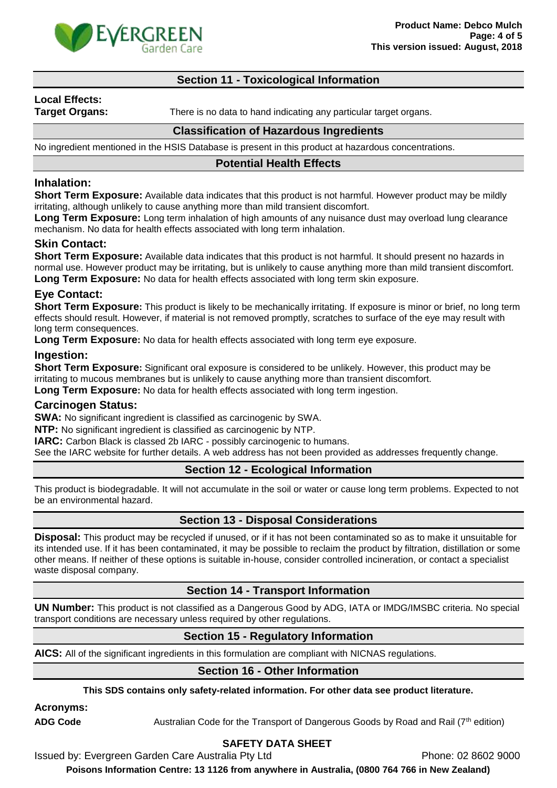

### **Section 11 - Toxicological Information**

# **Local Effects:**

**Target Organs:** There is no data to hand indicating any particular target organs.

#### **Classification of Hazardous Ingredients**

No ingredient mentioned in the HSIS Database is present in this product at hazardous concentrations.

#### **Potential Health Effects**

### **Inhalation:**

**Short Term Exposure:** Available data indicates that this product is not harmful. However product may be mildly irritating, although unlikely to cause anything more than mild transient discomfort.

Long Term Exposure: Long term inhalation of high amounts of any nuisance dust may overload lung clearance mechanism. No data for health effects associated with long term inhalation.

#### **Skin Contact:**

**Short Term Exposure:** Available data indicates that this product is not harmful. It should present no hazards in normal use. However product may be irritating, but is unlikely to cause anything more than mild transient discomfort. **Long Term Exposure:** No data for health effects associated with long term skin exposure.

### **Eye Contact:**

**Short Term Exposure**: This product is likely to be mechanically irritating. If exposure is minor or brief, no long term effects should result. However, if material is not removed promptly, scratches to surface of the eye may result with long term consequences.

**Long Term Exposure:** No data for health effects associated with long term eye exposure.

#### **Ingestion:**

**Short Term Exposure:** Significant oral exposure is considered to be unlikely. However, this product may be irritating to mucous membranes but is unlikely to cause anything more than transient discomfort. **Long Term Exposure:** No data for health effects associated with long term ingestion.

#### **Carcinogen Status:**

**SWA:** No significant ingredient is classified as carcinogenic by SWA.

**NTP:** No significant ingredient is classified as carcinogenic by NTP.

**IARC:** Carbon Black is classed 2b IARC - possibly carcinogenic to humans.

See the IARC website for further details. A web address has not been provided as addresses frequently change.

## **Section 12 - Ecological Information**

This product is biodegradable. It will not accumulate in the soil or water or cause long term problems. Expected to not be an environmental hazard.

## **Section 13 - Disposal Considerations**

**Disposal:** This product may be recycled if unused, or if it has not been contaminated so as to make it unsuitable for its intended use. If it has been contaminated, it may be possible to reclaim the product by filtration, distillation or some other means. If neither of these options is suitable in-house, consider controlled incineration, or contact a specialist waste disposal company.

#### **Section 14 - Transport Information**

**UN Number:** This product is not classified as a Dangerous Good by ADG, IATA or IMDG/IMSBC criteria. No special transport conditions are necessary unless required by other regulations.

## **Section 15 - Regulatory Information**

**AICS:** All of the significant ingredients in this formulation are compliant with NICNAS regulations.

## **Section 16 - Other Information**

**This SDS contains only safety-related information. For other data see product literature.**

**Acronyms:**

ADG Code **Australian Code for the Transport of Dangerous Goods by Road and Rail (7<sup>th</sup> edition)** 

# **SAFETY DATA SHEET**

Issued by: Evergreen Garden Care Australia Pty Ltd Phone: 02 8602 9000

**Poisons Information Centre: 13 1126 from anywhere in Australia, (0800 764 766 in New Zealand)**